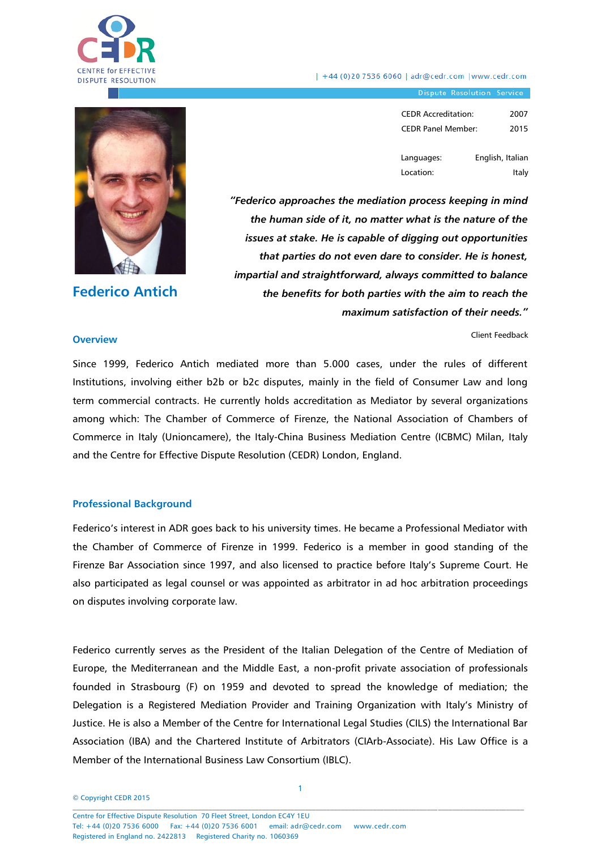

| +44 (0)20 7536 6060 | adr@cedr.com | www.cedr.com

Dispute Resolution Service

| <b>CEDR Accreditation:</b> | 2007 |
|----------------------------|------|
| <b>CEDR Panel Member:</b>  | 2015 |
|                            |      |

Languages: Location: English, Italian Italy

Client Feedback

**Federico Antich**

*"Federico approaches the mediation process keeping in mind the human side of it, no matter what is the nature of the issues at stake. He is capable of digging out opportunities that parties do not even dare to consider. He is honest, impartial and straightforward, always committed to balance the benefits for both parties with the aim to reach the maximum satisfaction of their needs."* 

#### **Overview**

Since 1999, Federico Antich mediated more than 5.000 cases, under the rules of different Institutions, involving either b2b or b2c disputes, mainly in the field of Consumer Law and long term commercial contracts. He currently holds accreditation as Mediator by several organizations among which: The Chamber of Commerce of Firenze, the National Association of Chambers of Commerce in Italy (Unioncamere), the Italy-China Business Mediation Centre (ICBMC) Milan, Italy and the Centre for Effective Dispute Resolution (CEDR) London, England.

#### **Professional Background**

Federico's interest in ADR goes back to his university times. He became a Professional Mediator with the Chamber of Commerce of Firenze in 1999. Federico is a member in good standing of the Firenze Bar Association since 1997, and also licensed to practice before Italy's Supreme Court. He also participated as legal counsel or was appointed as arbitrator in ad hoc arbitration proceedings on disputes involving corporate law.

Federico currently serves as the President of the Italian Delegation of the Centre of Mediation of Europe, the Mediterranean and the Middle East, a non-profit private association of professionals founded in Strasbourg (F) on 1959 and devoted to spread the knowledge of mediation; the Delegation is a Registered Mediation Provider and Training Organization with Italy's Ministry of Justice. He is also a Member of the Centre for International Legal Studies (CILS) the International Bar Association (IBA) and the Chartered Institute of Arbitrators (CIArb-Associate). His Law Office is a Member of the International Business Law Consortium (IBLC).

© Copyright CEDR 2015  $\mathcal{L} = \{ \mathcal{L} = \{ \mathcal{L} = \{ \mathcal{L} = \{ \mathcal{L} = \{ \mathcal{L} = \{ \mathcal{L} = \{ \mathcal{L} = \{ \mathcal{L} = \{ \mathcal{L} = \{ \mathcal{L} = \{ \mathcal{L} = \{ \mathcal{L} = \{ \mathcal{L} = \{ \mathcal{L} = \{ \mathcal{L} = \{ \mathcal{L} = \{ \mathcal{L} = \{ \mathcal{L} = \{ \mathcal{L} = \{ \mathcal{L} = \{ \mathcal{L} = \{ \mathcal{L} = \{ \mathcal{L} = \{ \mathcal{$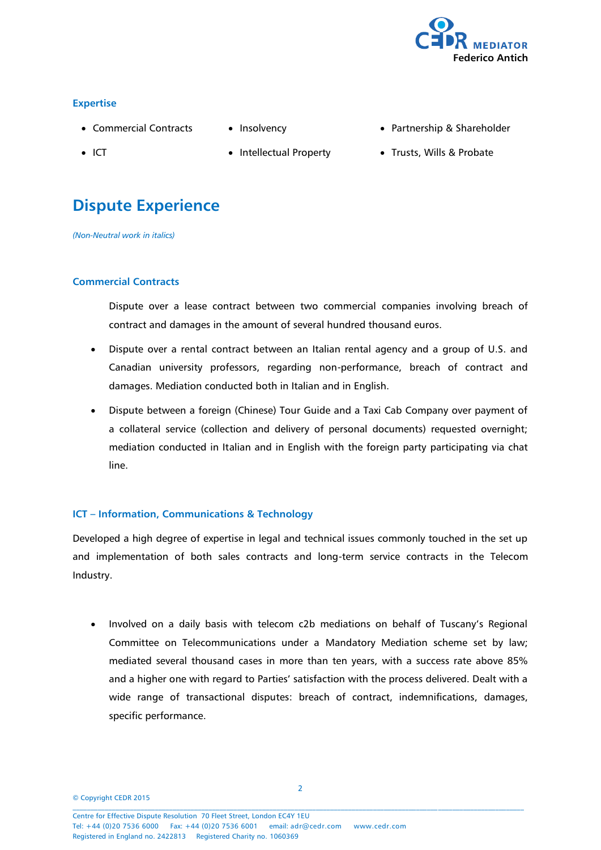

# **Expertise**

- Commercial Contracts
- Insolvency

Partnership & Shareholder

• ICT

- Intellectual Property
- Trusts, Wills & Probate

# **Dispute Experience**

*(Non-Neutral work in italics)*

# **Commercial Contracts**

Dispute over a lease contract between two commercial companies involving breach of contract and damages in the amount of several hundred thousand euros.

- Dispute over a rental contract between an Italian rental agency and a group of U.S. and Canadian university professors, regarding non-performance, breach of contract and damages. Mediation conducted both in Italian and in English.
- Dispute between a foreign (Chinese) Tour Guide and a Taxi Cab Company over payment of a collateral service (collection and delivery of personal documents) requested overnight; mediation conducted in Italian and in English with the foreign party participating via chat line.

# **ICT – Information, Communications & Technology**

Developed a high degree of expertise in legal and technical issues commonly touched in the set up and implementation of both sales contracts and long-term service contracts in the Telecom Industry.

• Involved on a daily basis with telecom c2b mediations on behalf of Tuscany's Regional Committee on Telecommunications under a Mandatory Mediation scheme set by law; mediated several thousand cases in more than ten years, with a success rate above 85% and a higher one with regard to Parties' satisfaction with the process delivered. Dealt with a wide range of transactional disputes: breach of contract, indemnifications, damages, specific performance.

© Copyright CEDR 2015  $\mathcal{L} = \{ \mathcal{L} = \{ \mathcal{L} = \{ \mathcal{L} = \{ \mathcal{L} = \{ \mathcal{L} = \{ \mathcal{L} = \{ \mathcal{L} = \{ \mathcal{L} = \{ \mathcal{L} = \{ \mathcal{L} = \{ \mathcal{L} = \{ \mathcal{L} = \{ \mathcal{L} = \{ \mathcal{L} = \{ \mathcal{L} = \{ \mathcal{L} = \{ \mathcal{L} = \{ \mathcal{L} = \{ \mathcal{L} = \{ \mathcal{L} = \{ \mathcal{L} = \{ \mathcal{L} = \{ \mathcal{L} = \{ \mathcal{$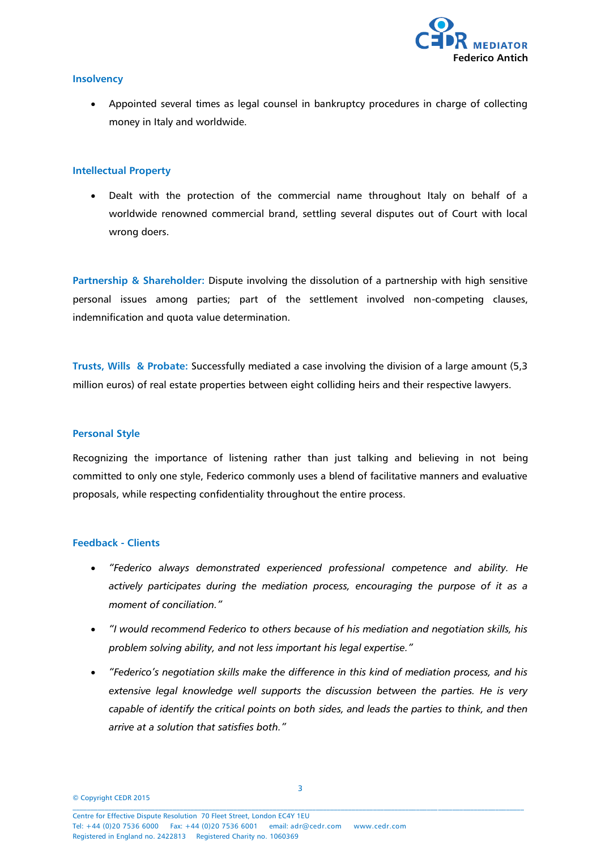

#### **Insolvency**

 Appointed several times as legal counsel in bankruptcy procedures in charge of collecting money in Italy and worldwide.

#### **Intellectual Property**

 Dealt with the protection of the commercial name throughout Italy on behalf of a worldwide renowned commercial brand, settling several disputes out of Court with local wrong doers.

**Partnership & Shareholder:** Dispute involving the dissolution of a partnership with high sensitive personal issues among parties; part of the settlement involved non-competing clauses, indemnification and quota value determination.

**Trusts, Wills & Probate:** Successfully mediated a case involving the division of a large amount (5,3 million euros) of real estate properties between eight colliding heirs and their respective lawyers.

# **Personal Style**

Recognizing the importance of listening rather than just talking and believing in not being committed to only one style, Federico commonly uses a blend of facilitative manners and evaluative proposals, while respecting confidentiality throughout the entire process.

#### **Feedback - Clients**

- *"Federico always demonstrated experienced professional competence and ability. He actively participates during the mediation process, encouraging the purpose of it as a moment of conciliation."*
- *"I would recommend Federico to others because of his mediation and negotiation skills, his problem solving ability, and not less important his legal expertise."*
- *"Federico's negotiation skills make the difference in this kind of mediation process, and his extensive legal knowledge well supports the discussion between the parties. He is very capable of identify the critical points on both sides, and leads the parties to think, and then arrive at a solution that satisfies both."*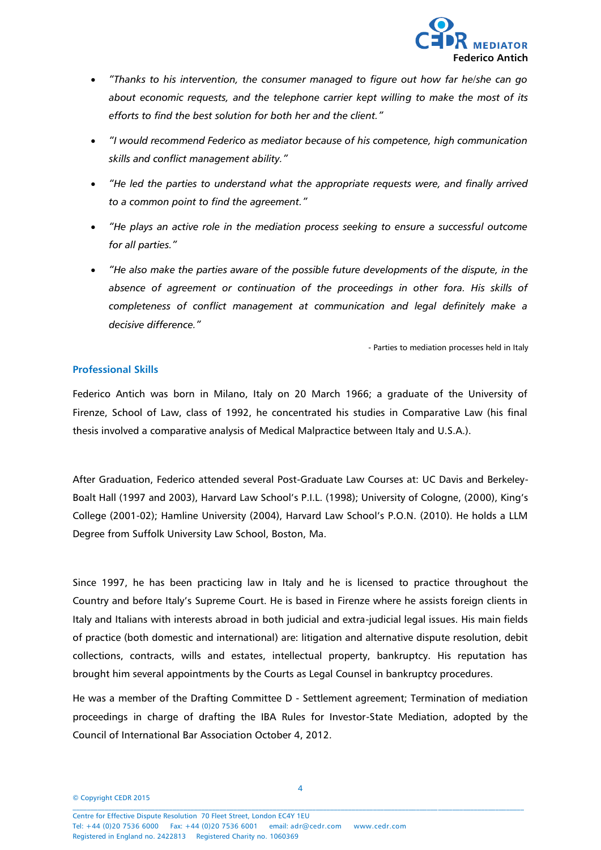

- *"Thanks to his intervention, the consumer managed to figure out how far he/she can go about economic requests, and the telephone carrier kept willing to make the most of its efforts to find the best solution for both her and the client."*
- *"I would recommend Federico as mediator because of his competence, high communication skills and conflict management ability."*
- *"He led the parties to understand what the appropriate requests were, and finally arrived to a common point to find the agreement."*
- *"He plays an active role in the mediation process seeking to ensure a successful outcome for all parties."*
- *"He also make the parties aware of the possible future developments of the dispute, in the*  absence of agreement or continuation of the proceedings in other fora. His skills of *completeness of conflict management at communication and legal definitely make a decisive difference."*

- Parties to mediation processes held in Italy

#### **Professional Skills**

Federico Antich was born in Milano, Italy on 20 March 1966; a graduate of the University of Firenze, School of Law, class of 1992, he concentrated his studies in Comparative Law (his final thesis involved a comparative analysis of Medical Malpractice between Italy and U.S.A.).

After Graduation, Federico attended several Post-Graduate Law Courses at: UC Davis and Berkeley-Boalt Hall (1997 and 2003), Harvard Law School's P.I.L. (1998); University of Cologne, (2000), King's College (2001-02); Hamline University (2004), Harvard Law School's P.O.N. (2010). He holds a LLM Degree from Suffolk University Law School, Boston, Ma.

Since 1997, he has been practicing law in Italy and he is licensed to practice throughout the Country and before Italy's Supreme Court. He is based in Firenze where he assists foreign clients in Italy and Italians with interests abroad in both judicial and extra-judicial legal issues. His main fields of practice (both domestic and international) are: litigation and alternative dispute resolution, debit collections, contracts, wills and estates, intellectual property, bankruptcy. His reputation has brought him several appointments by the Courts as Legal Counsel in bankruptcy procedures.

He was a member of the Drafting Committee D - Settlement agreement; Termination of mediation proceedings in charge of drafting the IBA Rules for Investor-State Mediation, adopted by the Council of International Bar Association October 4, 2012.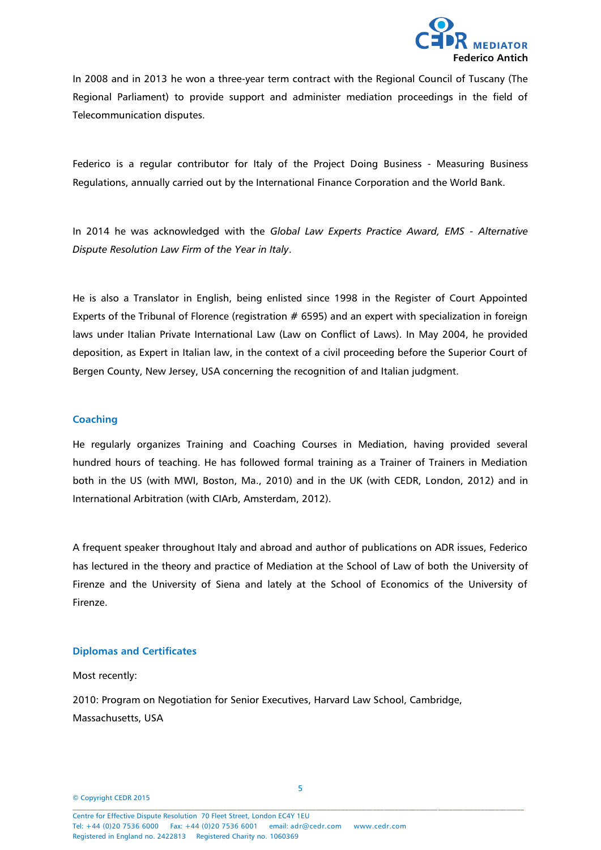

In 2008 and in 2013 he won a three-year term contract with the Regional Council of Tuscany (The Regional Parliament) to provide support and administer mediation proceedings in the field of Telecommunication disputes.

Federico is a regular contributor for Italy of the Project Doing Business - Measuring Business Regulations, annually carried out by the International Finance Corporation and the World Bank.

In 2014 he was acknowledged with the *Global Law Experts Practice Award, EMS - Alternative Dispute Resolution Law Firm of the Year in Italy*.

He is also a Translator in English, being enlisted since 1998 in the Register of Court Appointed Experts of the Tribunal of Florence (registration  $# 6595$ ) and an expert with specialization in foreign laws under Italian Private International Law (Law on Conflict of Laws). In May 2004, he provided deposition, as Expert in Italian law, in the context of a civil proceeding before the Superior Court of Bergen County, New Jersey, USA concerning the recognition of and Italian judgment.

#### **Coaching**

He regularly organizes Training and Coaching Courses in Mediation, having provided several hundred hours of teaching. He has followed formal training as a Trainer of Trainers in Mediation both in the US (with MWI, Boston, Ma., 2010) and in the UK (with CEDR, London, 2012) and in International Arbitration (with CIArb, Amsterdam, 2012).

A frequent speaker throughout Italy and abroad and author of publications on ADR issues, Federico has lectured in the theory and practice of Mediation at the School of Law of both the University of Firenze and the University of Siena and lately at the School of Economics of the University of Firenze.

# **Diplomas and Certificates**

Most recently:

2010: Program on Negotiation for Senior Executives, Harvard Law School, Cambridge, Massachusetts, USA

© Copyright CEDR 2015  $\mathcal{L} = \{ \mathcal{L} = \{ \mathcal{L} = \{ \mathcal{L} = \{ \mathcal{L} = \{ \mathcal{L} = \{ \mathcal{L} = \{ \mathcal{L} = \{ \mathcal{L} = \{ \mathcal{L} = \{ \mathcal{L} = \{ \mathcal{L} = \{ \mathcal{L} = \{ \mathcal{L} = \{ \mathcal{L} = \{ \mathcal{L} = \{ \mathcal{L} = \{ \mathcal{L} = \{ \mathcal{L} = \{ \mathcal{L} = \{ \mathcal{L} = \{ \mathcal{L} = \{ \mathcal{L} = \{ \mathcal{L} = \{ \mathcal{$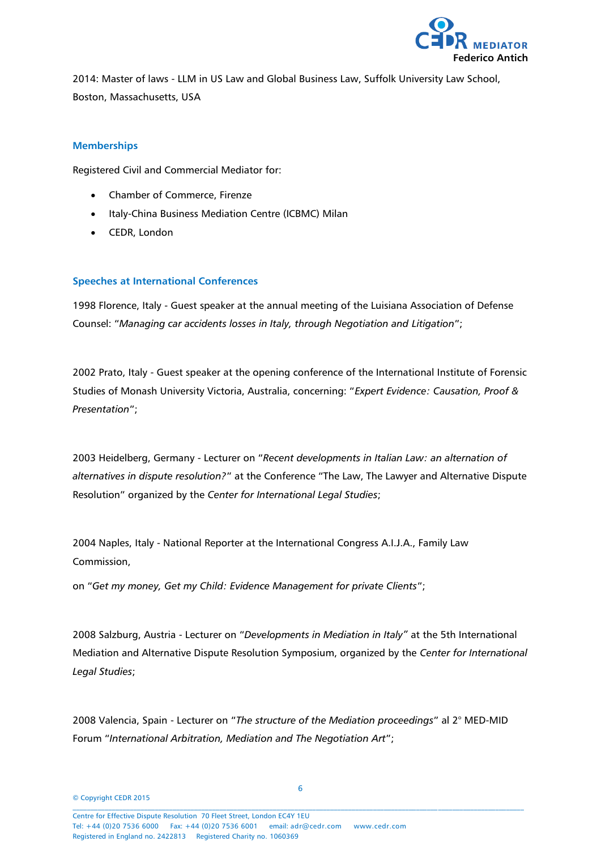

2014: Master of laws - LLM in US Law and Global Business Law, Suffolk University Law School, Boston, Massachusetts, USA

# **Memberships**

Registered Civil and Commercial Mediator for:

- Chamber of Commerce, Firenze
- Italy-China Business Mediation Centre (ICBMC) Milan
- CEDR, London

# **Speeches at International Conferences**

1998 Florence, Italy - Guest speaker at the annual meeting of the Luisiana Association of Defense Counsel: "*Managing car accidents losses in Italy, through Negotiation and Litigation*";

2002 Prato, Italy - Guest speaker at the opening conference of the International Institute of Forensic Studies of Monash University Victoria, Australia, concerning: "*Expert Evidence: Causation, Proof & Presentation*";

2003 Heidelberg, Germany - Lecturer on "*Recent developments in Italian Law: an alternation of alternatives in dispute resolution?*" at the Conference "The Law, The Lawyer and Alternative Dispute Resolution" organized by the *Center for International Legal Studies*;

2004 Naples, Italy - National Reporter at the International Congress A.I.J.A., Family Law Commission,

on "*Get my money, Get my Child: Evidence Management for private Clients*";

2008 Salzburg, Austria - Lecturer on "*Developments in Mediation in Italy"* at the 5th International Mediation and Alternative Dispute Resolution Symposium, organized by the *Center for International Legal Studies*;

2008 Valencia, Spain - Lecturer on "*The structure of the Mediation proceedings*" al 2° MED-MID Forum "*International Arbitration, Mediation and The Negotiation Art*";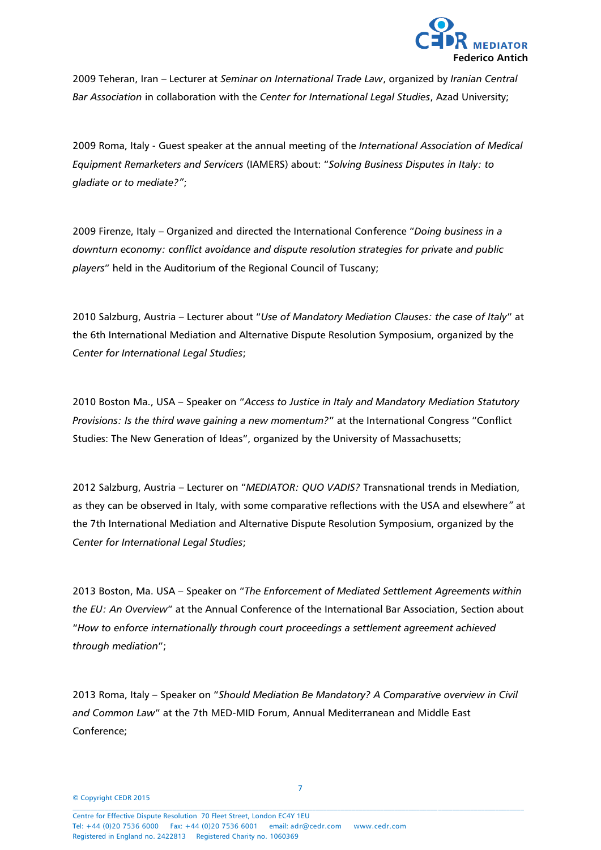

2009 Teheran, Iran – Lecturer at *Seminar on International Trade Law*, organized by *Iranian Central Bar Association* in collaboration with the *Center for International Legal Studies*, Azad University;

2009 Roma, Italy - Guest speaker at the annual meeting of the *International Association of Medical Equipment Remarketers and Servicers* (IAMERS) about: "*Solving Business Disputes in Italy: to gladiate or to mediate?"*;

2009 Firenze, Italy – Organized and directed the International Conference "*Doing business in a downturn economy: conflict avoidance and dispute resolution strategies for private and public players*" held in the Auditorium of the Regional Council of Tuscany;

2010 Salzburg, Austria – Lecturer about "*Use of Mandatory Mediation Clauses: the case of Italy*" at the 6th International Mediation and Alternative Dispute Resolution Symposium, organized by the *Center for International Legal Studies*;

2010 Boston Ma., USA – Speaker on "*Access to Justice in Italy and Mandatory Mediation Statutory Provisions: Is the third wave gaining a new momentum?*" at the International Congress "Conflict Studies: The New Generation of Ideas", organized by the University of Massachusetts;

2012 Salzburg, Austria – Lecturer on "*MEDIATOR: QUO VADIS?* Transnational trends in Mediation, as they can be observed in Italy, with some comparative reflections with the USA and elsewhere*"* at the 7th International Mediation and Alternative Dispute Resolution Symposium, organized by the *Center for International Legal Studies*;

2013 Boston, Ma. USA – Speaker on "*The Enforcement of Mediated Settlement Agreements within the EU: An Overview*" at the Annual Conference of the International Bar Association, Section about "*How to enforce internationally through court proceedings a settlement agreement achieved through mediation*";

2013 Roma, Italy – Speaker on "*Should Mediation Be Mandatory? A Comparative overview in Civil and Common Law*" at the 7th MED-MID Forum, Annual Mediterranean and Middle East Conference;